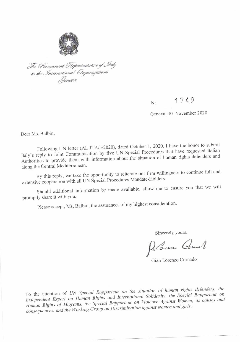

The Permanent Representative of Italy<br>to the International Organizations<br>Geneva

1749 Nr.

Geneva, 30 November 2020

Dear Ms. Balbin,

Following UN letter (AL ITA/5/2020), dated October 1, 2020, I have the honor to submit Italy's reply to Joint Communication by five UN Special Procedures that have requested Italian Authorities to provide them with information about the situation of human rights defenders and along the Central Mediterranean.

By this reply, we take the opportunity to reiterate our firm willingness to continue full and extensive cooperation with all UN Special Procedures Mandate-Holders.

Should additional information be made available, allow me to ensure you that we will promptly share it with you.

Please accept, Ms. Balbin, the assurances of my highest consideration.

Sincerely yours,

Placer Comel

Gian Lorenzo Cornado

To the attention of UN Special Rapporteur on the situation of human rights defenders, the Independent Expert on Human Rights and International Solidarity, the Special Rapporteur on Human Rights of Migrants, the Special Rapporteur on Violence Against Women, its causes and consequences, and the Working Group on Discrimination against women and girls.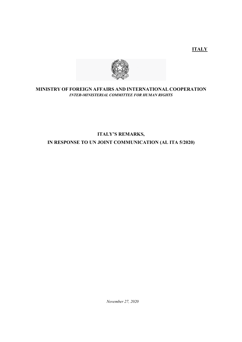**ITALY** 



# **MINISTRY OF FOREIGN AFFAIRS AND INTERNATIONAL COOPERATION** *INTER-MINISTERIAL COMMITTEE FOR HUMAN RIGHTS*

# **ITALY'S REMARKS, IN RESPONSE TO UN JOINT COMMUNICATION (AL ITA 5/2020)**

*November 27, 2020*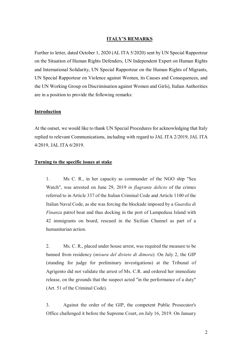### **ITALY'S REMARKS**

Further to letter, dated October 1, 2020 (AL ITA 5/2020) sent by UN Special Rapporteur on the Situation of Human Rights Defenders, UN Independent Expert on Human Rights and International Solidarity, UN Special Rapporteur on the Human Rights of Migrants, UN Special Rapporteur on Violence against Women, its Causes and Consequences, and the UN Working Group on Discrimination against Women and Girls), Italian Authorities are in a position to provide the following remarks:

## **Introduction**

At the outset, we would like to thank UN Special Procedures for acknowledging that Italy replied to relevant Communications, including with regard to JAL ITA 2/2019, JAL ITA 4/2019, JAL ITA 6/2019.

#### **Turning to the specific issues at stake**

1. Ms C. R., in her capacity as commander of the NGO ship "Sea Watch", was arrested on June 29, 2019 *in flagrante delicto* of the crimes referred to in Article 337 of the Italian Criminal Code and Article 1100 of the Italian Naval Code, as she was forcing the blockade imposed by a *Guardia di Finanza* patrol boat and thus docking in the port of Lampedusa Island with 42 immigrants on board, rescued in the Sicilian Channel as part of a humanitarian action.

2. Ms. C. R., placed under house arrest, was required the measure to be banned from residency (*misura del divieto di dimora*). On July 2, the GIP (standing for judge for preliminary investigations) at the Tribunal of Agrigento did not validate the arrest of Ms. C.R. and ordered her immediate release, on the grounds that the suspect acted "in the performance of a duty" (Art. 51 of the Criminal Code).

3. Against the order of the GIP, the competent Public Prosecutor's Office challenged it before the Supreme Court, on July 16, 2019. On January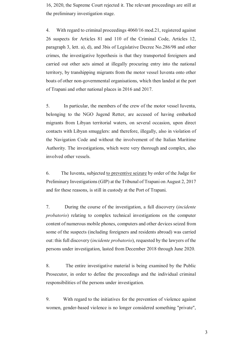16, 2020, the Supreme Court rejected it. The relevant proceedings are still at the preliminary investigation stage.

4. With regard to criminal proceedings 4060/16 mod.21, registered against 26 suspects for Articles 81 and 110 of the Criminal Code, Articles 12, paragraph 3, lett. a), d), and 3bis of Legislative Decree No.286/98 and other crimes, the investigative hypothesis is that they transported foreigners and carried out other acts aimed at illegally procuring entry into the national territory, by transhipping migrants from the motor vessel Iuventa onto other boats of other non-governmental organisations, which then landed at the port of Trapani and other national places in 2016 and 2017.

5. In particular, the members of the crew of the motor vessel Iuventa, belonging to the NGO Jugend Retter, are accused of having embarked migrants from Libyan territorial waters, on several occasion, upon direct contacts with Libyan smugglers: and therefore, illegally, also in violation of the Navigation Code and without the involvement of the Italian Maritime Authority. The investigations, which were very thorough and complex, also involved other vessels.

6. The Iuventa, subjected to preventive seizure by order of the Judge for Preliminary Investigations (GIP) at the Tribunal of Trapani on August 2, 2017 and for these reasons, is still in custody at the Port of Trapani.

7. During the course of the investigation, a full discovery (*incidente probatorio*) relating to complex technical investigations on the computer content of numerous mobile phones, computers and other devices seized from some of the suspects (including foreigners and residents abroad) was carried out: this full discovery (*incidente probatorio*), requested by the lawyers of the persons under investigation, lasted from December 2018 through June 2020.

8. The entire investigative material is being examined by the Public Prosecutor, in order to define the proceedings and the individual criminal responsibilities of the persons under investigation.

9. With regard to the initiatives for the prevention of violence against women, gender-based violence is no longer considered something "private",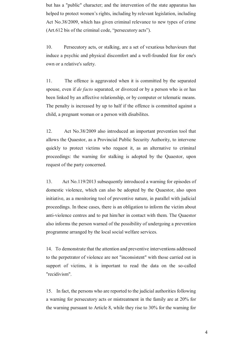but has a "public" character; and the intervention of the state apparatus has helped to protect women's rights, including by relevant legislation, including Act No.38/2009, which has given criminal relevance to new types of crime (Art.612 bis of the criminal code, "persecutory acts").

10. Persecutory acts, or stalking, are a set of vexatious behaviours that induce a psychic and physical discomfort and a well-founded fear for one's own or a relative's safety.

11. The offence is aggravated when it is committed by the separated spouse, even if *de facto* separated, or divorced or by a person who is or has been linked by an affective relationship, or by computer or telematic means. The penalty is increased by up to half if the offence is committed against a child, a pregnant woman or a person with disabilites.

12. Act No.38/2009 also introduced an important prevention tool that allows the Quaestor, as a Provincial Public Security Authority, to intervene quickly to protect victims who request it, as an alternative to criminal proceedings: the warning for stalking is adopted by the Quaestor, upon request of the party concerned.

13. Act No.119/2013 subsequently introduced a warning for episodes of domestic violence, which can also be adopted by the Quaestor, also upon initiative, as a monitoring tool of preventive nature, in parallel with judicial proceedings. In these cases, there is an obligation to inform the victim about anti-violence centres and to put him/her in contact with them. The Quaestor also informs the person warned of the possibility of undergoing a prevention programme arranged by the local social welfare services.

14. To demonstrate that the attention and preventive interventions addressed to the perpetrator of violence are not "inconsistent" with those carried out in support of victims, it is important to read the data on the so-called "recidivism".

15. In fact, the persons who are reported to the judicial authorities following a warning for persecutory acts or mistreatment in the family are at 20% for the warning pursuant to Article 8, while they rise to 30% for the warning for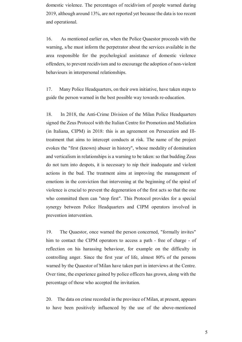domestic violence. The percentages of recidivism of people warned during 2019, although around 13%, are not reported yet because the data is too recent and operational.

16. As mentioned earlier on, when the Police Quaestor proceeds with the warning, s/he must inform the perpetrator about the services available in the area responsible for the psychological assistance of domestic violence offenders, to prevent recidivism and to encourage the adoption of non-violent behaviours in interpersonal relationships.

17. Many Police Headquarters, on their own initiative, have taken steps to guide the person warned in the best possible way towards re-education.

18. In 2018, the Anti-Crime Division of the Milan Police Headquarters signed the Zeus Protocol with the Italian Centre for Promotion and Mediation (in Italiana, CIPM) in 2018: this is an agreement on Persecution and Illtreatment that aims to intercept conducts at risk. The name of the project evokes the "first (known) abuser in history", whose modality of domination and verticalism in relationships is a warning to be taken: so that budding Zeus do not turn into despots, it is necessary to nip their inadequate and violent actions in the bud. The treatment aims at improving the management of emotions in the conviction that intervening at the beginning of the spiral of violence is crucial to prevent the degeneration of the first acts so that the one who committed them can "stop first". This Protocol provides for a special synergy between Police Headquarters and CIPM operators involved in prevention intervention.

19. The Quaestor, once warned the person concerned, "formally invites" him to contact the CIPM operators to access a path - free of charge - of reflection on his harassing behaviour, for example on the difficulty in controlling anger. Since the first year of life, almost 80% of the persons warned by the Quaestor of Milan have taken part in interviews at the Centre. Over time, the experience gained by police officers has grown, along with the percentage of those who accepted the invitation.

20. The data on crime recorded in the province of Milan, at present, appears to have been positively influenced by the use of the above-mentioned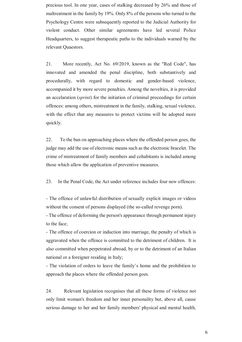precious tool. In one year, cases of stalking decreased by 26% and those of maltreatment in the family by 19%. Only 8% of the persons who turned to the Psychology Centre were subsequently reported to the Judicial Authority for violent conduct. Other similar agreements have led several Police Headquarters, to suggest therapeutic paths to the individuals warned by the relevant Quaestors.

21. More recently, Act No. 69/2019, known as the "Red Code", has innovated and amended the penal discipline, both substantively and procedurally, with regard to domestic and gender-based violence, accompanied it by more severe penalties. Among the novelties, it is provided an accelaration (*sprint*) for the initiation of criminal proceedings for certain offences: among others, mistreatment in the family, stalking, sexual violence, with the effect that any measures to protect victims will be adopted more quickly.

22. To the ban on approaching places where the offended person goes, the judge may add the use of electronic means such as the electronic bracelet. The crime of mistreatment of family members and cohabitants is included among those which allow the application of preventive measures.

23. In the Penal Code, the Act under reference includes four new offences:

- The offence of unlawful distribution of sexually explicit images or videos without the consent of persons displayed (the so-called revenge porn).

- The offence of deforming the person's appearance through permanent injury to the face;

- The offence of coercion or induction into marriage, the penalty of which is aggravated when the offence is committed to the detriment of children. It is also committed when perpetrated abroad, by or to the detriment of an Italian national or a foreigner residing in Italy;

- The violation of orders to leave the family's home and the prohibition to approach the places where the offended person goes.

24. Relevant legislation recognises that all these forms of violence not only limit woman's freedom and her inner personality but, above all, cause serious damage to her and her family members' physical and mental health,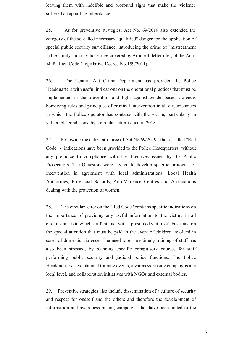leaving them with indelible and profound signs that make the violence suffered an appalling inheritance.

25. As for preventive strategies, Act No. 69/2019 also extended the category of the so-called necessary "qualified" danger for the application of special public security surveillance, introducing the crime of "mistreatment in the family" among those ones covered by Article 4, letter i-ter, of the Anti-Mafia Law Code (Legislative Decree No.159/2011).

26. The Central Anti-Crime Department has provided the Police Headquarters with useful indications on the operational practices that must be implemented in the prevention and fight against gender-based violence, borrowing rules and principles of criminal intervention in all circumstances in which the Police operator has contatcs with the victim, particularly in vulnerable conditions, by a circular letter issued in 2018.

27. Following the entry into force of Act No.69/2019 - the so-called "Red Code" -, indications have been provided to the Police Headquarters, without any prejudice to compliance with the directives issued by the Public Prosecutors. The Quaestors were invited to develop specific protocols of intervention in agreement with local administrations, Local Health Authorities, Provincial Schools, Anti-Violence Centres and Associations dealing with the protection of women.

28. The circular letter on the "Red Code "contains specific indications on the importance of providing any useful information to the victim, in all circumstances in which staff interact with a presumed victim of abuse, and on the special attention that must be paid in the event of children involved in cases of domestic violence. The need to ensure timely training of staff has also been stressed, by planning specific compulsory courses for staff performing public security and judicial police functions. The Police Headquarters have planned training events, awareness-raising campaigns at a local level, and collaboration initiatives with NGOs and external bodies.

29. Preventive strategies also include dissemination of a culture of security and respect for oneself and the others and therefore the development of information and awareness-raising campaigns that have been added to the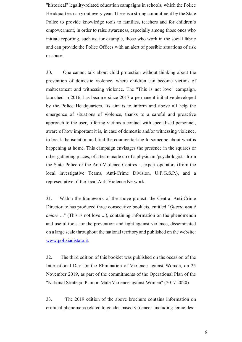"historical" legality-related education campaigns in schools, which the Police Headquarters carry out every year. There is a strong commitment by the State Police to provide knowledge tools to families, teachers and for children's empowerment, in order to raise awareness, especially among those ones who initiate reporting, such as, for example, those who work in the social fabric and can provide the Police Offices with an alert of possible situations of risk or abuse.

30. One cannot talk about child protection without thinking about the prevention of domestic violence, where children can become victims of maltreatment and witnessing violence. The "This is not love" campaign, launched in 2016, has become since 2017 a permanent initiative developed by the Police Headquarters. Its aim is to inform and above all help the emergence of situations of violence, thanks to a careful and proactive approach to the user, offering victims a contact with specialised personnel, aware of how important it is, in case of domestic and/or witnessing violence, to break the isolation and find the courage talking to someone about what is happening at home. This campaign envisages the presence in the squares or other gathering places, of a team made up of a physician /psychologist - from the State Police or the Anti-Violence Centres -, expert operators (from the local investigative Teams, Anti-Crime Division, U.P.G.S.P.), and a representative of the local Anti-Violence Network.

31. Within the framework of the above project, the Central Anti-Crime Directorate has produced three consecutive booklets, entitled "*Questo non è amore* ..." (This is not love ...), containing information on the phenomenon and useful tools for the prevention and fight against violence, disseminated on a large scale throughout the national territory and published on the website: www.poliziadistato.it.

32. The third edition of this booklet was published on the occasion of the International Day for the Elimination of Violence against Women, on 25 November 2019, as part of the commitments of the Operational Plan of the "National Strategic Plan on Male Violence against Women" (2017-2020).

33. The 2019 edition of the above brochure contains information on criminal phenomena related to gender-based violence - including femicides -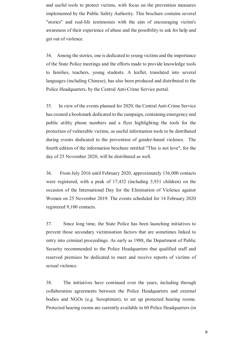and useful tools to protect victims, with focus on the prevention measures implemented by the Public Safety Authority. This brochure contains several "stories" and real-life testimonies with the aim of encouraging victim's awareness of their experience of abuse and the possibility to ask for help and get out of violence.

34. Among the stories, one is dedicated to young victims and the importance of the State Police meetings and the efforts made to provide knowledge tools to families, teachers, young students. A leaflet, translated into several languages (including Chinese), has also been produced and distributed to the Police Headquarters, by the Central Anti-Crime Service portal.

35. In view of the events planned for 2020, the Central Anti-Crime Service has created a bookmark dedicated to the campaign, containing emergency and public utility phone numbers and a flyer highlighting the tools for the protection of vulnerable victims, as useful information tools to be distributed during events dedicated to the prevention of gender-based violence. The fourth edition of the information brochure entitled "This is not love", for the day of 25 November 2020, will be distributed as well.

36. From July 2016 until February 2020, approximately 136,000 contacts were registered, with a peak of 17,432 (including 3,931 children) on the occasion of the International Day for the Elimination of Violence against Women on 25 November 2019. The events scheduled for 14 February 2020 registered 9,100 contacts.

37. Since long time, the State Police has been launching initiatives to prevent those secondary victimisation factors that are sometimes linked to entry into criminal proceedings. As early as 1988, the Department of Public Security recommended to the Police Headquarters that qualified staff and reserved premises be dedicated to meet and receive reports of victims of sexual violence.

38. The initiatives have continued over the years, including through collaboration agreements between the Police Headquarters and external bodies and NGOs (e.g. Soroptimist), to set up protected hearing rooms. Protected hearing rooms are currently available in 60 Police Headquarters (in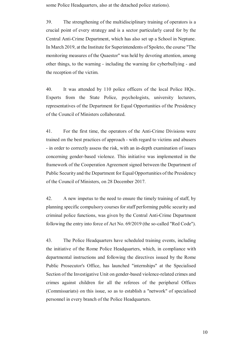some Police Headquarters, also at the detached police stations).

39. The strengthening of the multidisciplinary training of operators is a crucial point of every strategy and is a sector particularly cared for by the Central Anti-Crime Department, which has also set up a School in Neptune. In March 2019, at the Institute for Superintendents of Spoleto, the course "The monitoring measures of the Quaestor" was held by devoting attention, among other things, to the warning - including the warning for cyberbullying - and the reception of the victim.

40. It was attended by 110 police officers of the local Police HQs.. Experts from the State Police, psychologists, university lecturers, representatives of the Department for Equal Opportunities of the Presidency of the Council of Ministers collaborated.

41. For the first time, the operators of the Anti-Crime Divisions were trained on the best practices of approach - with regard to victims and abusers - in order to correctly assess the risk, with an in-depth examination of issues concerning gender-based violence. This initiative was implemented in the framework of the Cooperation Agreement signed between the Department of Public Security and the Department for Equal Opportunities of the Presidency of the Council of Ministers, on 28 December 2017.

42. A new impetus to the need to ensure the timely training of staff, by planning specific compulsory courses for staff performing public security and criminal police functions, was given by the Central Anti-Crime Department following the entry into force of Act No. 69/2019 (the so-called "Red Code").

43. The Police Headquarters have scheduled training events, including the initiative of the Rome Police Headquarters, which, in compliance with departmental instructions and following the directives issued by the Rome Public Prosecutor's Office, has launched "internships" at the Specialised Section of the Investigative Unit on gender-based violence-related crimes and crimes against children for all the referees of the peripheral Offices (Commissariats) on this issue, so as to establish a "network" of specialised personnel in every branch of the Police Headquarters.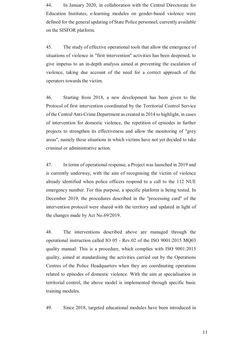44. In January 2020, in collaboration with the Central Directorate for Education Institutes, e-learning modules on gender-based violence were defined for the general updating of State Police personnel, currently available on the SISFOR platform.

45. The study of effective operational tools that allow the emergence of situations of violence in "first intervention" activities has been deepened, to give impetus to an in-depth analysis aimed at preventing the escalation of violence, taking due account of the need for a correct approach of the operators towards the victim.

46. Starting from 2018, a new development has been given to the Protocol of first intervention coordinated by the Territorial Control Service of the Central Anti-Crime Department as created in 2014 to highlight, in cases of intervention for domestic violence, the repetition of episodes in further projects to strengthen its effectiveness and allow the monitoring of "grey areas", namely those situations in which victims have not yet decided to take criminal or administrative action.

47. In terms of operational response, a Project was launched in 2019 and is currently underway, with the aim of recognising the victim of violence already identified when police officers respond to a call to the 112 NUE emergency number. For this purpose, a specific platform is being tested. In December 2019, the procedures described in the ''processing card'' of the intervention protocol were shared with the territory and updated in light of the changes made by Act No.69/2019.

48. The interventions described above are managed through the operational instruction called IO 05 - Rev.02 of the ISO 9001:2015 MQ03 quality manual: This is a procedure, which complies with ISO 9001:2015 quality, aimed at standardising the activities carried out by the Operations Centres of the Police Headquarters when they are coordinating operations related to episodes of domestic violence. With the aim at specialisation in territorial control, the above model is implemented through specific basic training modules.

49. Since 2018, targeted educational modules have been introduced in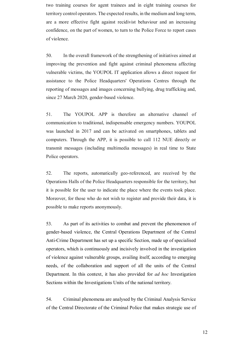two training courses for agent trainees and in eight training courses for territory control operators. The expected results, in the medium and long term, are a more effective fight against recidivist behaviour and an increasing confidence, on the part of women, to turn to the Police Force to report cases of violence.

50. In the overall framework of the strengthening of initiatives aimed at improving the prevention and fight against criminal phenomena affecting vulnerable victims, the YOUPOL IT application allows a direct request for assistance to the Police Headquarters' Operations Centres through the reporting of messages and images concerning bullying, drug trafficking and, since 27 March 2020, gender-based violence.

51. The YOUPOL APP is therefore an alternative channel of communication to traditional, indispensable emergency numbers. YOUPOL was launched in 2017 and can be activated on smartphones, tablets and computers. Through the APP, it is possible to call 112 NUE directly or transmit messages (including multimedia messages) in real time to State Police operators.

52. The reports, automatically geo-referenced, are received by the Operations Halls of the Police Headquarters responsible for the territory, but it is possible for the user to indicate the place where the events took place. Moreover, for those who do not wish to register and provide their data, it is possible to make reports anonymously.

53. As part of its activities to combat and prevent the phenomenon of gender-based violence, the Central Operations Department of the Central Anti-Crime Department has set up a specific Section, made up of specialised operators, which is continuously and incisively involved in the investigation of violence against vulnerable groups, availing itself, according to emerging needs, of the collaboration and support of all the units of the Central Department. In this context, it has also provided for *ad hoc* Investigation Sections within the Investigations Units of the national territory.

54. Criminal phenomena are analysed by the Criminal Analysis Service of the Central Directorate of the Criminal Police that makes strategic use of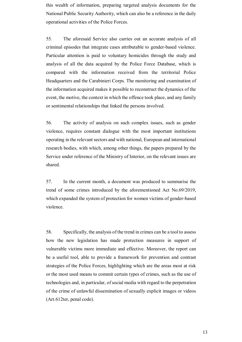this wealth of information, preparing targeted analysis documents for the National Public Security Authority, which can also be a reference in the daily operational activities of the Police Forces.

55. The aforesaid Service also carries out an accurate analysis of all criminal episodes that integrate cases attributable to gender-based violence. Particular attention is paid to voluntary homicides through the study and analysis of all the data acquired by the Police Force Database, which is compared with the information received from the territorial Police Headquarters and the Carabinieri Corps. The monitoring and examination of the information acquired makes it possible to reconstruct the dynamics of the event, the motive, the context in which the offence took place, and any family or sentimental relationships that linked the persons involved.

56. The activity of analysis on such complex issues, such as gender violence, requires constant dialogue with the most important institutions operating in the relevant sectors and with national, European and international research bodies, with which, among other things, the papers prepared by the Service under reference of the Ministry of Interior, on the relevant issues are shared.

57. In the current month, a document was produced to summarise the trend of some crimes introduced by the aforementioned Act No.69/2019, which expanded the system of protection for women victims of gender-based violence.

58. Specifically, the analysis of the trend in crimes can be a tool to assess how the new legislation has made protection measures in support of vulnerable victims more immediate and effective. Moreover, the report can be a useful tool, able to provide a framework for prevention and contrast strategies of the Police Forces, highlighting which are the areas most at risk or the most used means to commit certain types of crimes, such as the use of technologies and, in particular, of social media with regard to the perpetration of the crime of unlawful dissemination of sexually explicit images or videos (Art.612ter, penal code).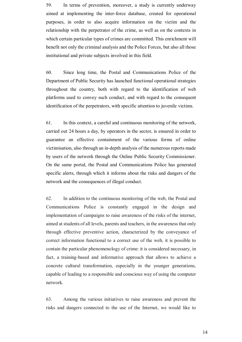59. In terms of prevention, moreover, a study is currently underway aimed at implementing the inter-force database, created for operational purposes, in order to also acquire information on the victim and the relationship with the perpetrator of the crime, as well as on the contexts in which certain particular types of crimes are committed. This enrichment will benefit not only the criminal analysis and the Police Forces, but also all those institutional and private subjects involved in this field.

60. Since long time, the Postal and Communications Police of the Department of Public Security has launched functional operational strategies throughout the country, both with regard to the identification of web platforms used to convey such conduct, and with regard to the consequent identification of the perpetrators, with specific attention to juvenile victims.

61. In this context, a careful and continuous monitoring of the network, carried out 24 hours a day, by operators in the sector, is ensured in order to guarantee an effective containment of the various forms of online victimisation, also through an in-depth analysis of the numerous reports made by users of the network through the Online Public Security Commissioner. On the same portal, the Postal and Communications Police has generated specific alerts, through which it informs about the risks and dangers of the network and the consequences of illegal conduct.

62. In addition to the continuous monitoring of the web, the Postal and Communications Police is constantly engaged in the design and implementation of campaigns to raise awareness of the risks of the internet, aimed at students of all levels, parents and teachers, in the awareness that only through effective preventive action, characterized by the conveyance of correct information functional to a correct use of the web, it is possible to contain the particular phenomenology of crime: it is considered necessary, in fact, a training-based and informative approach that allows to achieve a concrete cultural transformation, especially in the younger generations, capable of leading to a responsible and conscious way of using the computer network.

63. Among the various initiatives to raise awareness and prevent the risks and dangers connected to the use of the Internet, we would like to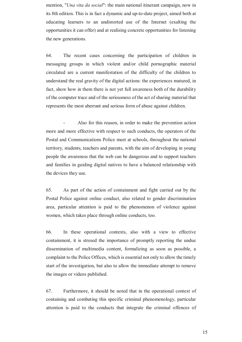mention, "*Una vita da social*": the main national itinerant campaign, now in its 8th edition. This is in fact a dynamic and up-to-date project, aimed both at educating learners to an undistorted use of the Internet (exalting the opportunities it can offer) and at realising concrete opportunities for listening the new generations.

64. The recent cases concerning the participation of children in messaging groups in which violent and/or child pornographic material circulated are a current manifestation of the difficulty of the children to understand the real gravity of the digital actions: the experiences matured, in fact, show how in them there is not yet full awareness both of the durability of the computer trace and of the seriousness of the act of sharing material that represents the most aberrant and serious form of abuse against children.

Also for this reason, in order to make the prevention action more and more effective with respect to such conducts, the operators of the Postal and Communications Police meet at schools, throughout the national territory, students, teachers and parents, with the aim of developing in young people the awareness that the web can be dangerous and to support teachers and families in guiding digital natives to have a balanced relationship with the devices they use.

65. As part of the action of containment and fight carried out by the Postal Police against online conduct, also related to gender discrimination area, particular attention is paid to the phenomenon of violence against women, which takes place through online conducts, too.

66. In these operational contexts, also with a view to effective containment, it is stresed the importance of promptly reporting the undue dissemination of multimedia content, formalizing as soon as possible, a complaint to the Police Offices, which is essential not only to allow the timely start of the investigation, but also to allow the immediate attempt to remove the images or videos published.

67. Furthermore, it should be noted that in the operational context of containing and combating this specific criminal phenomenology, particular attention is paid to the conducts that integrate the criminal offences of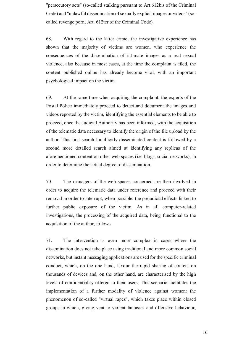"persecutory acts" (so-called stalking pursuant to Art.612bis of the Criminal Code) and "unlawful dissemination of sexually explicit images or videos" (socalled revenge porn, Art. 612ter of the Criminal Code).

68. With regard to the latter crime, the investigative experience has shown that the majority of victims are women, who experience the consequences of the dissemination of intimate images as a real sexual violence, also because in most cases, at the time the complaint is filed, the content published online has already become viral, with an important psychological impact on the victim.

69. At the same time when acquiring the complaint, the experts of the Postal Police immediately proceed to detect and document the images and videos reported by the victim, identifying the essential elements to be able to proceed, once the Judicial Authority has been informed, with the acquisition of the telematic data necessary to identify the origin of the file upload by the author. This first search for illicitly disseminated content is followed by a second more detailed search aimed at identifying any replicas of the aforementioned content on other web spaces (i.e. blogs, social networks), in order to determine the actual degree of dissemination.

70. The managers of the web spaces concerned are then involved in order to acquire the telematic data under reference and proceed with their removal in order to interrupt, when possible, the prejudicial effects linked to further public exposure of the victim. As in all computer-related investigations, the processing of the acquired data, being functional to the acquisition of the author, follows.

71. The intervention is even more complex in cases where the dissemination does not take place using traditional and more common social networks, but instant messaging applications are used for the specific criminal conduct, which, on the one hand, favour the rapid sharing of content on thousands of devices and, on the other hand, are characterised by the high levels of confidentiality offered to their users. This scenario facilitates the implementation of a further modality of violence against women: the phenomenon of so-called "virtual rapes", which takes place within closed groups in which, giving vent to violent fantasies and offensive behaviour,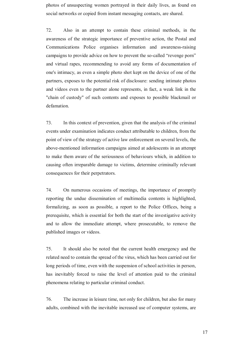photos of unsuspecting women portrayed in their daily lives, as found on social networks or copied from instant messaging contacts, are shared.

72. Also in an attempt to contain these criminal methods, in the awareness of the strategic importance of preventive action, the Postal and Communications Police organises information and awareness-raising campaigns to provide advice on how to prevent the so-called "revenge porn" and virtual rapes, recommending to avoid any forms of documentation of one's intimacy, as even a simple photo shot kept on the device of one of the partners, exposes to the potential risk of disclosure: sending intimate photos and videos even to the partner alone represents, in fact, a weak link in the "chain of custody" of such contents and exposes to possible blackmail or defamation.

73. In this context of prevention, given that the analysis of the criminal events under examination indicates conduct attributable to children, from the point of view of the strategy of active law enforcement on several levels, the above-mentioned information campaigns aimed at adolescents in an attempt to make them aware of the seriousness of behaviours which, in addition to causing often irreparable damage to victims, determine criminally relevant consequences for their perpetrators.

74. On numerous occasions of meetings, the importance of promptly reporting the undue dissemination of multimedia contents is highlighted, formalizing, as soon as possible, a report to the Police Offices, being a prerequisite, which is essential for both the start of the investigative activity and to allow the immediate attempt, where prosecutable, to remove the published images or videos.

75. It should also be noted that the current health emergency and the related need to contain the spread of the virus, which has been carried out for long periods of time, even with the suspension of school activities in person, has inevitably forced to raise the level of attention paid to the criminal phenomena relating to particular criminal conduct.

76. The increase in leisure time, not only for children, but also for many adults, combined with the inevitable increased use of computer systems, are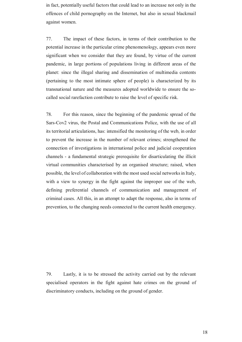in fact, potentially useful factors that could lead to an increase not only in the offences of child pornography on the Internet, but also in sexual blackmail against women.

77. The impact of these factors, in terms of their contribution to the potential increase in the particular crime phenomenology, appears even more significant when we consider that they are found, by virtue of the current pandemic, in large portions of populations living in different areas of the planet: since the illegal sharing and dissemination of multimedia contents (pertaining to the most intimate sphere of people) is characterized by its transnational nature and the measures adopted worldwide to ensure the socalled social rarefaction contribute to raise the level of specific risk.

78. For this reason, since the beginning of the pandemic spread of the Sars-Cov2 virus, the Postal and Communications Police, with the use of all its territorial articulations, has: intensified the monitoring of the web, in order to prevent the increase in the number of relevant crimes; strengthened the connection of investigations in international police and judicial cooperation channels - a fundamental strategic prerequisite for disarticulating the illicit virtual communities characterised by an organised structure; raised, when possible, the level of collaboration with the most used social networks in Italy, with a view to synergy in the fight against the improper use of the web, defining preferential channels of communication and management of criminal cases. All this, in an attempt to adapt the response, also in terms of prevention, to the changing needs connected to the current health emergency.

79. Lastly, it is to be stressed the activity carried out by the relevant specialised operators in the fight against hate crimes on the ground of discriminatory conducts, including on the ground of gender.